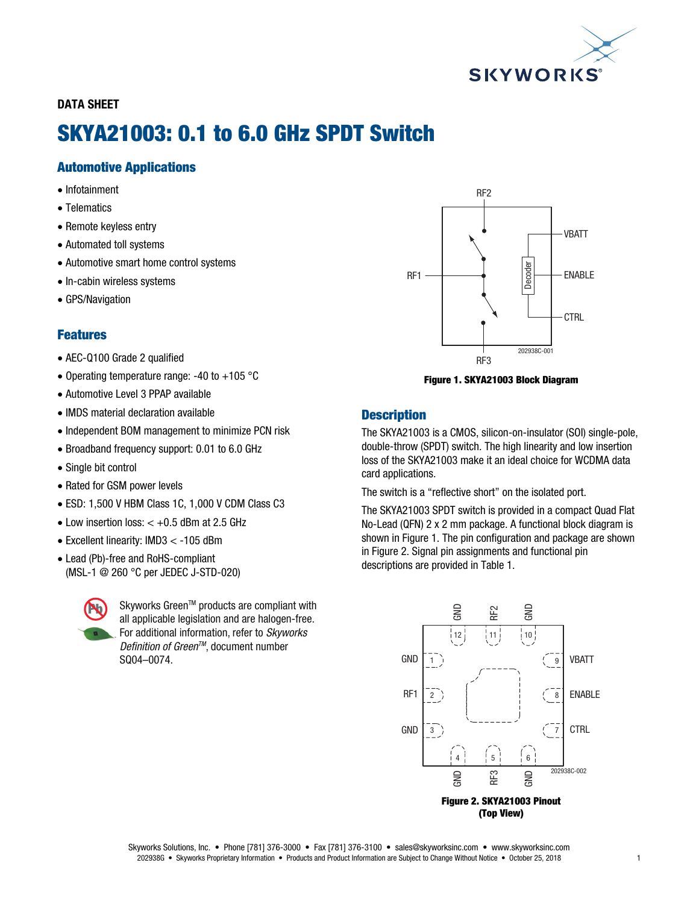

## DATA SHEET

# SKYA21003: 0.1 to 6.0 GHz SPDT Switch

# Automotive Applications

- Infotainment
- Telematics
- Remote keyless entry
- Automated toll systems
- Automotive smart home control systems
- In-cabin wireless systems
- GPS/Navigation

## Features

- AEC-Q100 Grade 2 qualified
- Operating temperature range: -40 to +105  $^{\circ}$ C
- Automotive Level 3 PPAP available
- IMDS material declaration available
- Independent BOM management to minimize PCN risk
- Broadband frequency support: 0.01 to 6.0 GHz
- Single bit control
- Rated for GSM power levels
- ESD: 1,500 V HBM Class 1C, 1,000 V CDM Class C3
- $\bullet$  Low insertion loss:  $< +0.5$  dBm at 2.5 GHz
- Excellent linearity: IMD3 < -105 dBm
- Lead (Pb)-free and RoHS-compliant (MSL-1 @ 260 °C per JEDEC J-STD-020)



Skyworks Green™ products are compliant with all applicable legislation and are halogen-free. For additional information, refer to *Skyworks Definition of GreenTM*, document number SQ04–0074.



Figure 1. SKYA21003 Block Diagram

## **Description**

The SKYA21003 is a CMOS, silicon-on-insulator (SOI) single-pole, double-throw (SPDT) switch. The high linearity and low insertion loss of the SKYA21003 make it an ideal choice for WCDMA data card applications.

The switch is a "reflective short" on the isolated port.

The SKYA21003 SPDT switch is provided in a compact Quad Flat No-Lead (QFN) 2 x 2 mm package. A functional block diagram is shown in Figure 1. The pin configuration and package are shown in Figure 2. Signal pin assignments and functional pin descriptions are provided in Table 1.

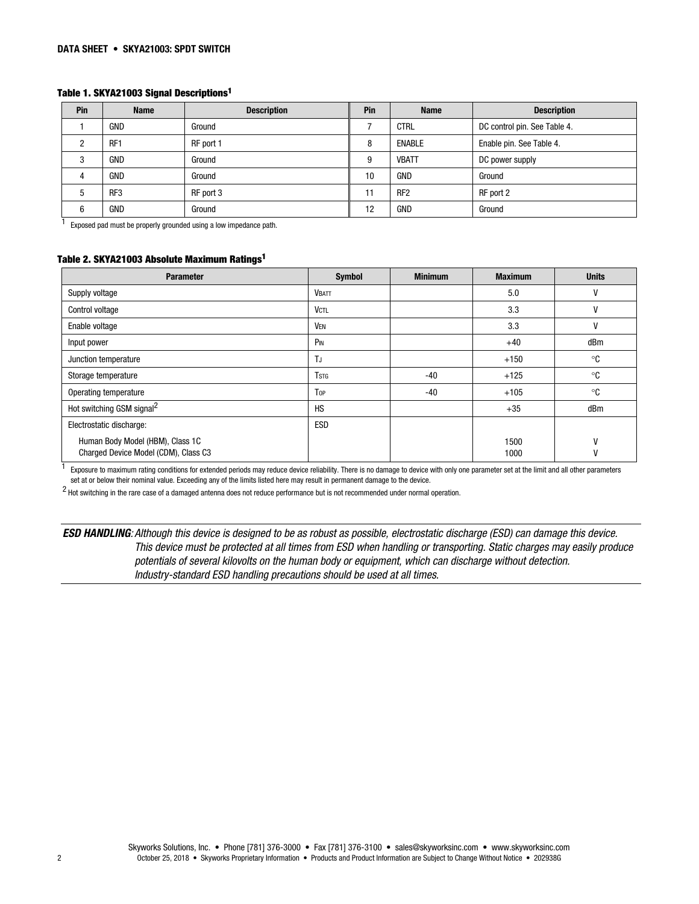#### Table 1. SKYA21003 Signal Descriptions1

| Pin | <b>Name</b>     | <b>Description</b> | Pin | <b>Name</b>     | <b>Description</b>           |
|-----|-----------------|--------------------|-----|-----------------|------------------------------|
|     | <b>GND</b>      | Ground             |     | <b>CTRL</b>     | DC control pin. See Table 4. |
|     | RF <sub>1</sub> | RF port 1          | 8   | <b>ENABLE</b>   | Enable pin. See Table 4.     |
| n   | <b>GND</b>      | Ground             | 9   | <b>VBATT</b>    | DC power supply              |
|     | GND             | Ground             | 10  | GND             | Ground                       |
|     | RF <sub>3</sub> | RF port 3          | 11  | RF <sub>2</sub> | RF port 2                    |
| 6   | <b>GND</b>      | Ground             | 12  | GND             | Ground                       |

 $1$  Exposed pad must be properly grounded using a low impedance path.

#### Table 2. SKYA21003 Absolute Maximum Ratings1

| <b>Parameter</b>                                                         | Symbol       | <b>Minimum</b> | <b>Maximum</b> | <b>Units</b> |
|--------------------------------------------------------------------------|--------------|----------------|----------------|--------------|
| Supply voltage                                                           | <b>VBATT</b> |                | 5.0            |              |
| Control voltage                                                          | <b>VCTL</b>  |                | 3.3            | ۷            |
| Enable voltage                                                           | <b>VEN</b>   |                | 3.3            |              |
| Input power                                                              | PIN          |                | $+40$          | dBm          |
| Junction temperature                                                     | TJ           |                | $+150$         | ∘c           |
| Storage temperature                                                      | <b>T</b> stg | $-40$          | $+125$         | ∘c           |
| Operating temperature                                                    | Top          | $-40$          | $+105$         | ∘c           |
| Hot switching GSM signal <sup>2</sup>                                    | <b>HS</b>    |                | $+35$          | dBm          |
| Electrostatic discharge:                                                 | ESD          |                |                |              |
| Human Body Model (HBM), Class 1C<br>Charged Device Model (CDM), Class C3 |              |                | 1500<br>1000   | ٧            |

<sup>1</sup> Exposure to maximum rating conditions for extended periods may reduce device reliability. There is no damage to device with only one parameter set at the limit and all other parameters set at or below their nominal value. Exceeding any of the limits listed here may result in permanent damage to the device.

2 Hot switching in the rare case of a damaged antenna does not reduce performance but is not recommended under normal operation.

ESD HANDLING*: Although this device is designed to be as robust as possible, electrostatic discharge (ESD) can damage this device. This device must be protected at all times from ESD when handling or transporting. Static charges may easily produce potentials of several kilovolts on the human body or equipment, which can discharge without detection. Industry-standard ESD handling precautions should be used at all times.*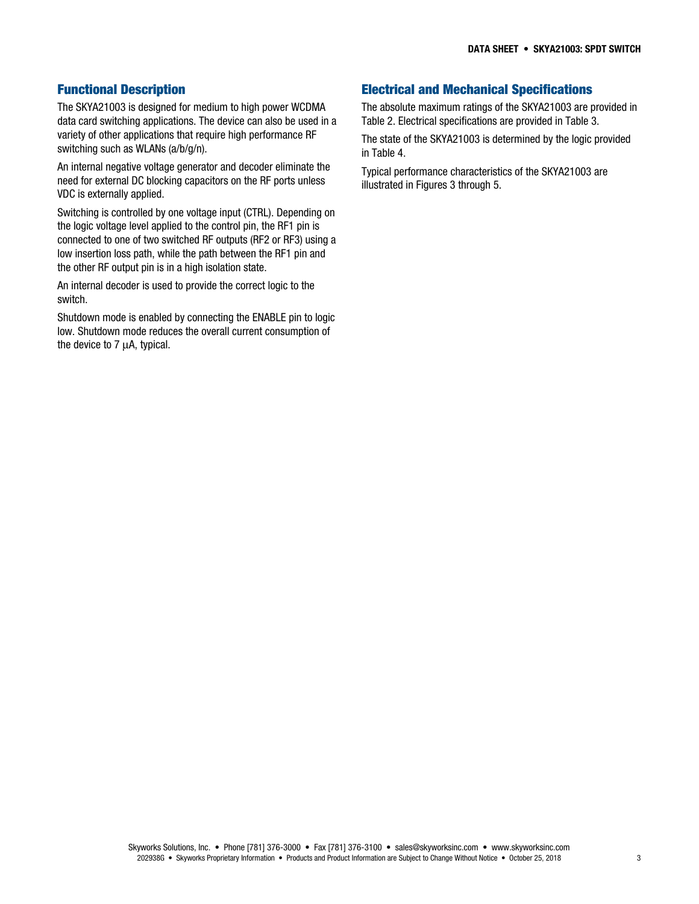## Functional Description

The SKYA21003 is designed for medium to high power WCDMA data card switching applications. The device can also be used in a variety of other applications that require high performance RF switching such as WLANs (a/b/g/n).

An internal negative voltage generator and decoder eliminate the need for external DC blocking capacitors on the RF ports unless VDC is externally applied.

Switching is controlled by one voltage input (CTRL). Depending on the logic voltage level applied to the control pin, the RF1 pin is connected to one of two switched RF outputs (RF2 or RF3) using a low insertion loss path, while the path between the RF1 pin and the other RF output pin is in a high isolation state.

An internal decoder is used to provide the correct logic to the switch.

Shutdown mode is enabled by connecting the ENABLE pin to logic low. Shutdown mode reduces the overall current consumption of the device to 7 μA, typical.

# Electrical and Mechanical Specifications

The absolute maximum ratings of the SKYA21003 are provided in Table 2. Electrical specifications are provided in Table 3.

The state of the SKYA21003 is determined by the logic provided in Table 4.

Typical performance characteristics of the SKYA21003 are illustrated in Figures 3 through 5.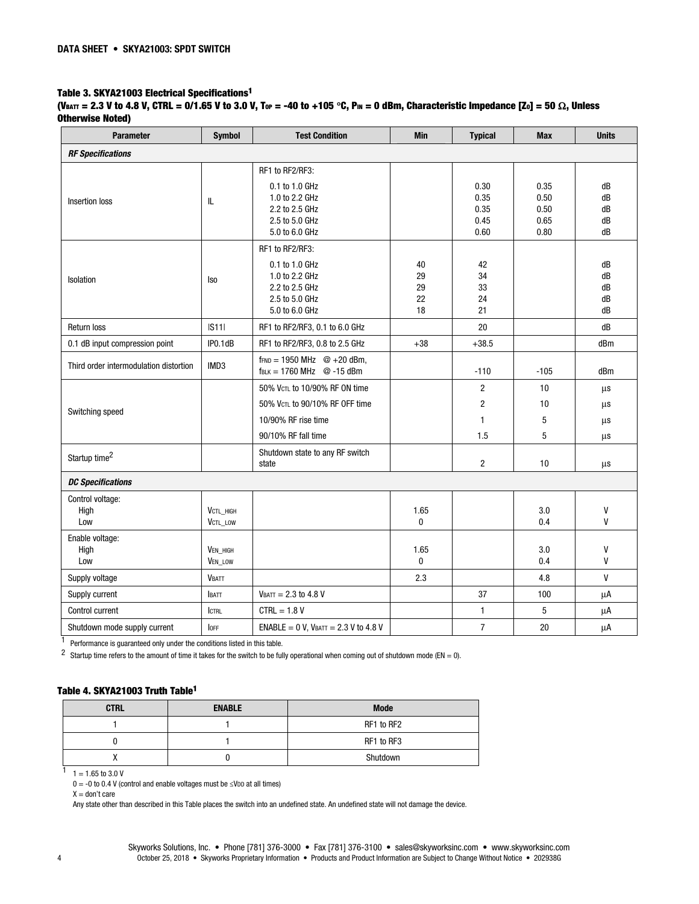#### Table 3. SKYA21003 Electrical Specifications1

#### (V<sub>BATT</sub> = 2.3 V to 4.8 V, CTRL = 0/1.65 V to 3.0 V, Tor = -40 to +105 °C, P<sub>IN</sub> = 0 dBm, Characteristic Impedance [Zo] = 50  $\Omega$ , Unless Otherwise Noted)

| <b>Parameter</b>                       | <b>Symbol</b>         | <b>Test Condition</b>                                                                                     | <b>Min</b>                 | <b>Typical</b>                       | <b>Max</b>                           | <b>Units</b>               |
|----------------------------------------|-----------------------|-----------------------------------------------------------------------------------------------------------|----------------------------|--------------------------------------|--------------------------------------|----------------------------|
| <b>RF Specifications</b>               |                       |                                                                                                           |                            |                                      |                                      |                            |
| Insertion loss                         | ${\sf IL}$            | RF1 to RF2/RF3:<br>0.1 to 1.0 GHz<br>1.0 to 2.2 GHz<br>2.2 to 2.5 GHz<br>2.5 to 5.0 GHz<br>5.0 to 6.0 GHz |                            | 0.30<br>0.35<br>0.35<br>0.45<br>0.60 | 0.35<br>0.50<br>0.50<br>0.65<br>0.80 | dB<br>dB<br>dB<br>dB<br>dB |
| Isolation                              | <b>Iso</b>            | RF1 to RF2/RF3:<br>0.1 to 1.0 GHz<br>1.0 to 2.2 GHz<br>2.2 to 2.5 GHz<br>2.5 to 5.0 GHz<br>5.0 to 6.0 GHz | 40<br>29<br>29<br>22<br>18 | 42<br>34<br>33<br>24<br>21           |                                      | dB<br>dB<br>dB<br>dB<br>dB |
| <b>Return loss</b>                     | S11                   | RF1 to RF2/RF3, 0.1 to 6.0 GHz                                                                            |                            | 20                                   |                                      | dB                         |
| 0.1 dB input compression point         | IPO.1dB               | RF1 to RF2/RF3, 0.8 to 2.5 GHz                                                                            | $+38$                      | $+38.5$                              |                                      | dBm                        |
| Third order intermodulation distortion | IMD3                  | $f_{\text{FND}} = 1950 \text{ MHz}$ @ +20 dBm,<br>$f_{BLK} = 1760 \text{ MHz}$ @ -15 dBm                  |                            | $-110$                               | $-105$                               | dBm                        |
|                                        |                       | 50% VCTL to 10/90% RF ON time                                                                             |                            | $\overline{2}$                       | 10 <sup>10</sup>                     | $\mu s$                    |
| Switching speed                        |                       | 50% VCTL to 90/10% RF OFF time                                                                            |                            | $\overline{2}$                       | 10                                   | μs                         |
|                                        |                       | 10/90% RF rise time                                                                                       |                            | $\mathbf{1}$                         | 5                                    | μs                         |
|                                        |                       | 90/10% RF fall time                                                                                       |                            | 1.5                                  | 5                                    | μs                         |
| Startup time <sup>2</sup>              |                       | Shutdown state to any RF switch<br>state                                                                  |                            | $\overline{2}$                       | 10                                   | μs                         |
| <b>DC Specifications</b>               |                       |                                                                                                           |                            |                                      |                                      |                            |
| Control voltage:<br>High<br>Low        | VCTL_HIGH<br>VCTL_LOW |                                                                                                           | 1.65<br>0                  |                                      | 3.0<br>0.4                           | V<br>$\mathsf{V}$          |
| Enable voltage:<br>High<br>Low         | VEN_HIGH<br>VEN_LOW   |                                                                                                           | 1.65<br>0                  |                                      | 3.0<br>0.4                           | V<br>V                     |
| Supply voltage                         | <b>VBATT</b>          |                                                                                                           | 2.3                        |                                      | 4.8                                  | $\mathsf{V}$               |
| Supply current                         | BATT                  | $V_{BAT} = 2.3$ to 4.8 V                                                                                  |                            | 37                                   | 100                                  | μA                         |
| Control current                        | <b>CTRL</b>           | $CTRL = 1.8 V$                                                                                            |                            | $\mathbf{1}$                         | 5                                    | μA                         |
| Shutdown mode supply current           | <b>I</b> OFF          | ENABLE = $0$ V, VBATT = $2.3$ V to 4.8 V                                                                  |                            | $\overline{7}$                       | $20\,$                               | μA                         |

 $\frac{1}{1}$  Performance is guaranteed only under the conditions listed in this table.

2 Startup time refers to the amount of time it takes for the switch to be fully operational when coming out of shutdown mode (EN = 0).

## Table 4. SKYA21003 Truth Table1

| <b>CTRL</b> | <b>ENABLE</b> | <b>Mode</b> |
|-------------|---------------|-------------|
|             |               | RF1 to RF2  |
|             |               | RF1 to RF3  |
|             |               | Shutdown    |

 $1 = 1.65$  to 3.0 V

 $0 = -0$  to 0.4 V (control and enable voltages must be ≤VDD at all times)

 $X =$  don't care

Any state other than described in this Table places the switch into an undefined state. An undefined state will not damage the device.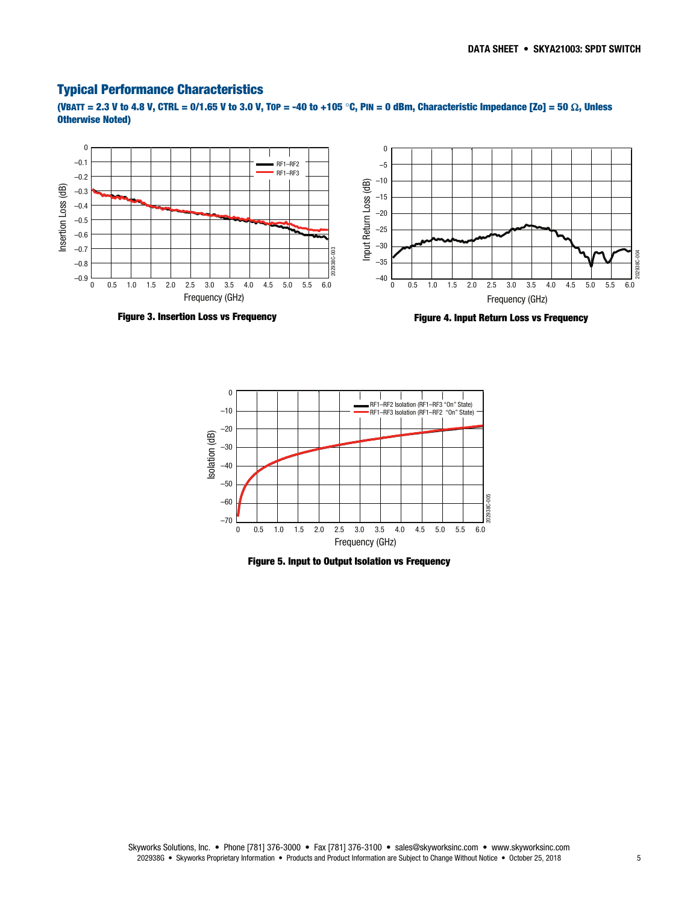## Typical Performance Characteristics

(VBATT = 2.3 V to 4.8 V, CTRL = 0/1.65 V to 3.0 V, T0P = -40 to +105 °C, PIN = 0 dBm, Characteristic Impedance [Zo] = 50  $\Omega$ , Unless Otherwise Noted)



Figure 3. Insertion Loss vs Frequency

Figure 4. Input Return Loss vs Frequency



Figure 5. Input to Output Isolation vs Frequency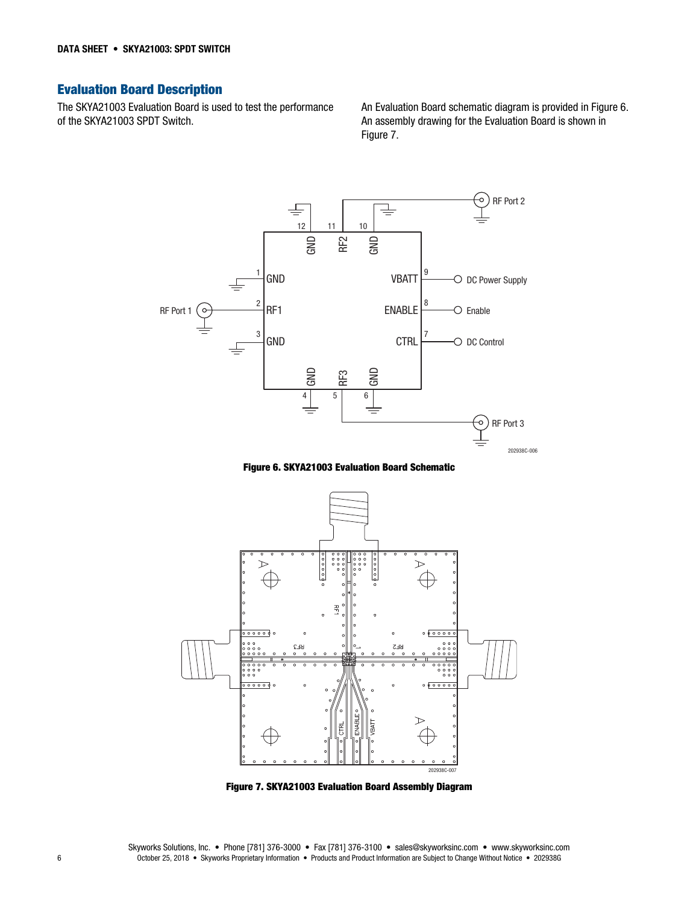# Evaluation Board Description

The SKYA21003 Evaluation Board is used to test the performance of the SKYA21003 SPDT Switch.

An Evaluation Board schematic diagram is provided in Figure 6. An assembly drawing for the Evaluation Board is shown in Figure 7.



Figure 6. SKYA21003 Evaluation Board Schematic



Figure 7. SKYA21003 Evaluation Board Assembly Diagram

Skyworks Solutions, Inc. • Phone [781] 376-3000 • Fax [781] 376-3100 • sales@skyworksinc.com • www.skyworksinc.com 6 October 25, 2018 • Skyworks Proprietary Information • Products and Product Information are Subject to Change Without Notice • 202938G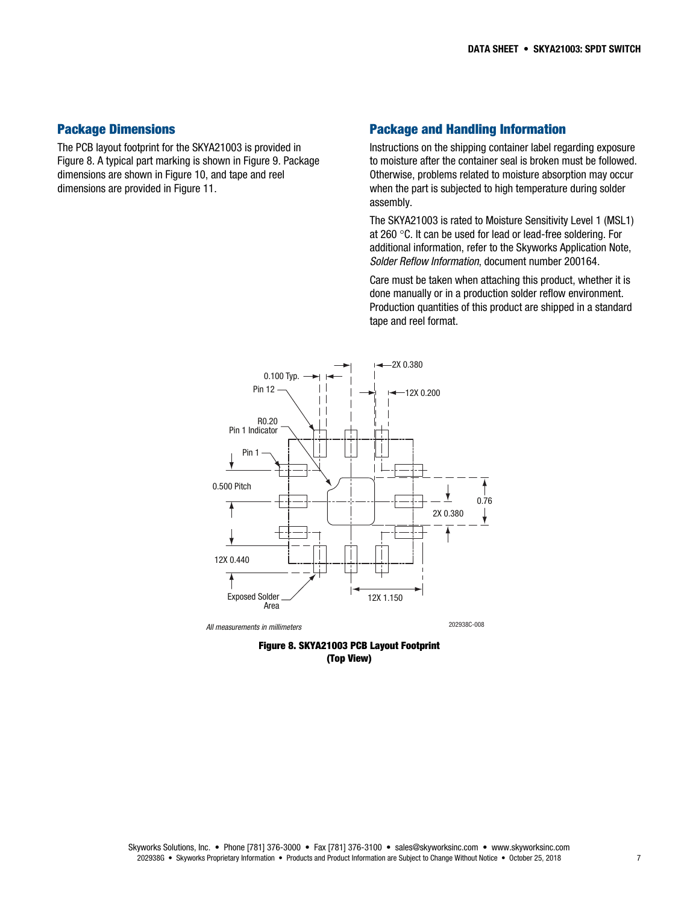### Package Dimensions

The PCB layout footprint for the SKYA21003 is provided in Figure 8. A typical part marking is shown in Figure 9. Package dimensions are shown in Figure 10, and tape and reel dimensions are provided in Figure 11.

## Package and Handling Information

Instructions on the shipping container label regarding exposure to moisture after the container seal is broken must be followed. Otherwise, problems related to moisture absorption may occur when the part is subjected to high temperature during solder assembly.

The SKYA21003 is rated to Moisture Sensitivity Level 1 (MSL1) at 260 °C. It can be used for lead or lead-free soldering. For additional information, refer to the Skyworks Application Note, *Solder Reflow Information*, document number 200164.

Care must be taken when attaching this product, whether it is done manually or in a production solder reflow environment. Production quantities of this product are shipped in a standard tape and reel format.



*All measurements in millimeters* 202938C-008

Figure 8. SKYA21003 PCB Layout Footprint (Top View)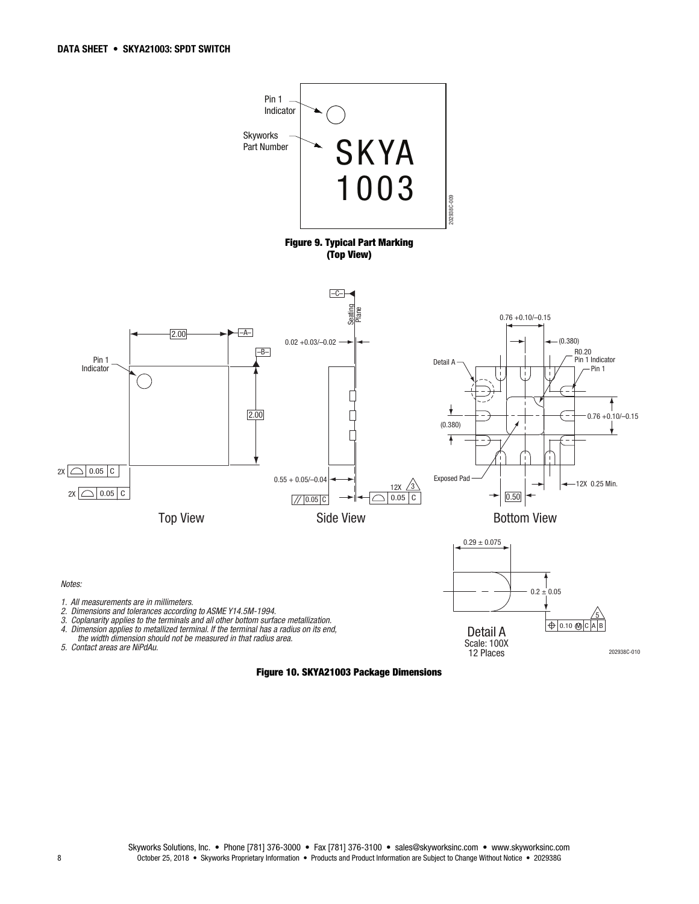

Figure 10. SKYA21003 Package Dimensions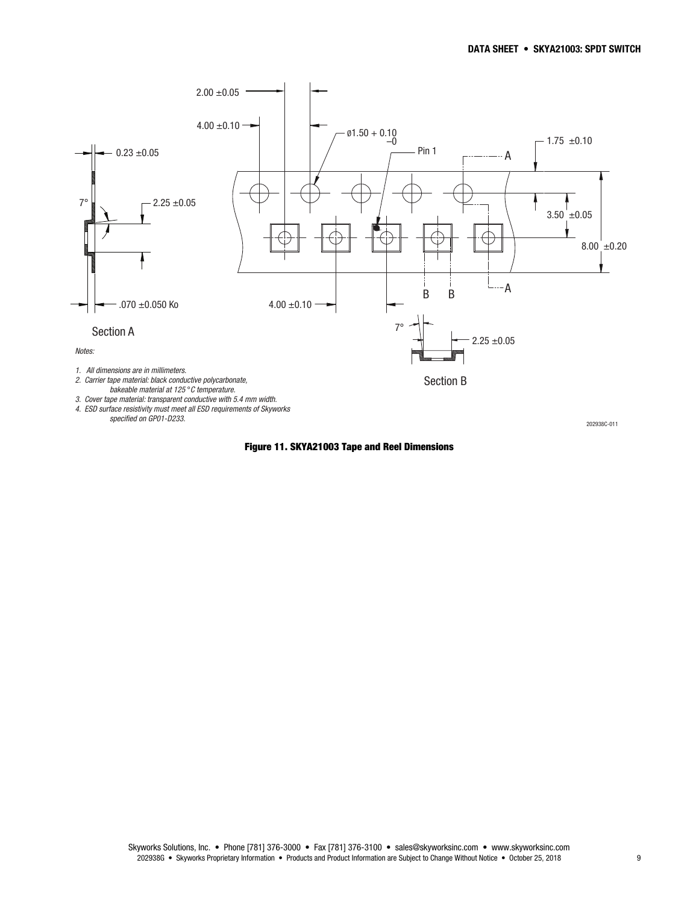

Figure 11. SKYA21003 Tape and Reel Dimensions

Skyworks Solutions, Inc. • Phone [781] 376-3000 • Fax [781] 376-3100 • sales@skyworksinc.com • www.skyworksinc.com 202938G • Skyworks Proprietary Information • Products and Product Information are Subject to Change Without Notice • October 25, 2018 9